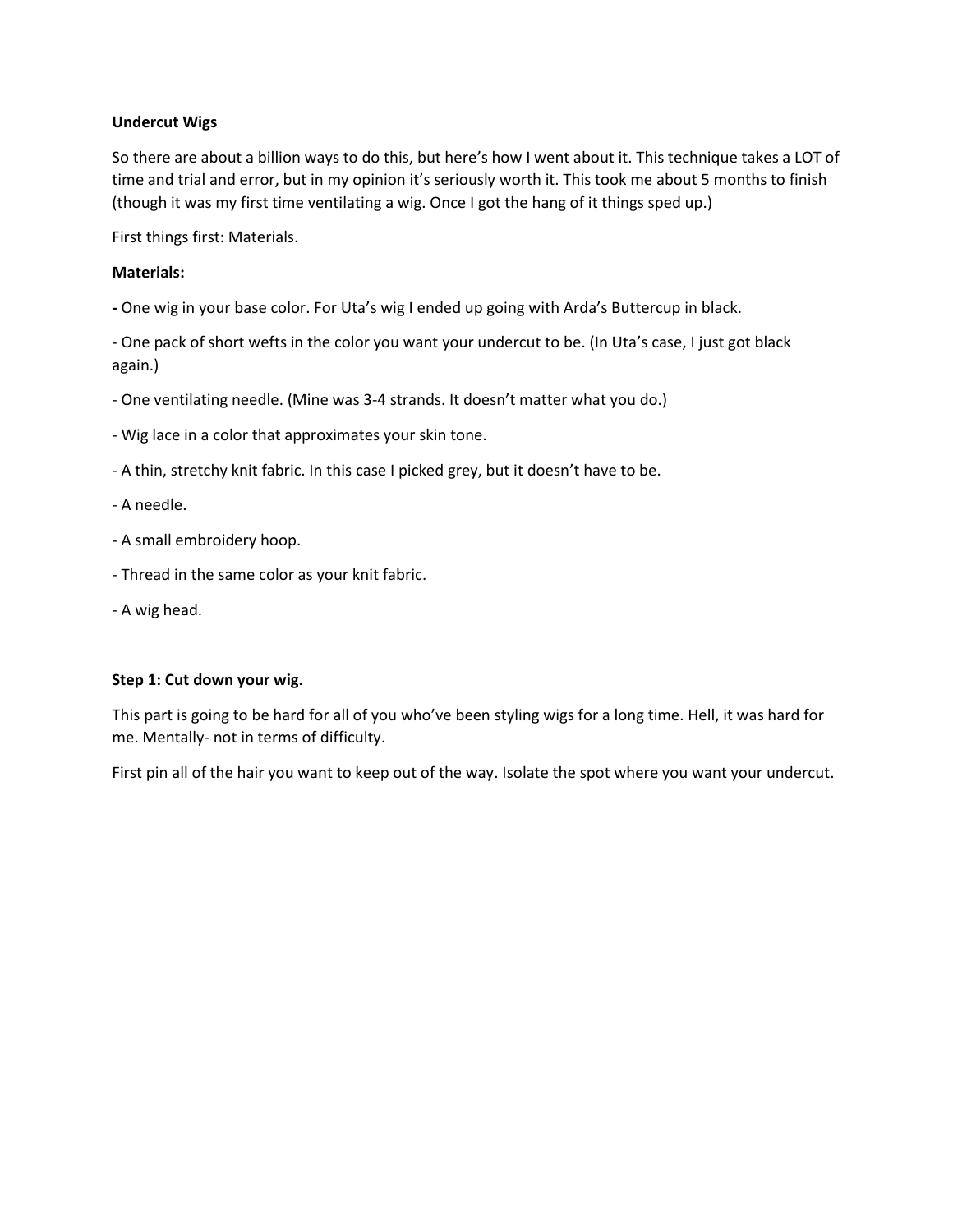# **Undercut Wigs**

So there are about a billion ways to do this, but here's how I went about it. This technique takes a LOT of time and trial and error, but in my opinion it's seriously worth it. This took me about 5 months to finish (though it was my first time ventilating a wig. Once I got the hang of it things sped up.)

First things first: Materials.

# **Materials:**

**-** One wig in your base color. For Uta's wig I ended up going with Arda's Buttercup in black.

- One pack of short wefts in the color you want your undercut to be. (In Uta's case, I just got black again.)

- One ventilating needle. (Mine was 3-4 strands. It doesn't matter what you do.)
- Wig lace in a color that approximates your skin tone.
- A thin, stretchy knit fabric. In this case I picked grey, but it doesn't have to be.

- A needle.

- A small embroidery hoop.
- Thread in the same color as your knit fabric.
- A wig head.

### **Step 1: Cut down your wig.**

This part is going to be hard for all of you who've been styling wigs for a long time. Hell, it was hard for me. Mentally- not in terms of difficulty.

First pin all of the hair you want to keep out of the way. Isolate the spot where you want your undercut.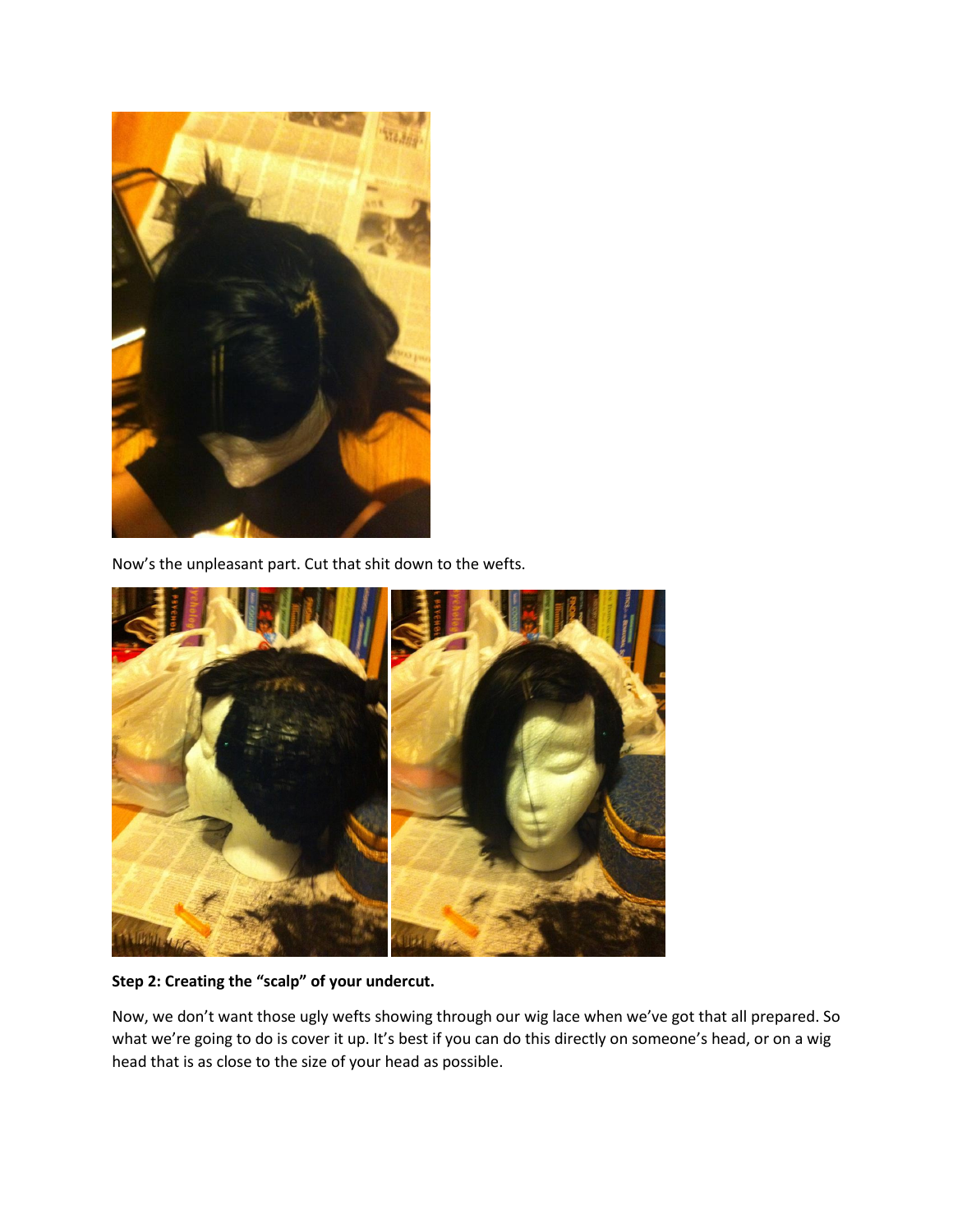

Now's the unpleasant part. Cut that shit down to the wefts.



**Step 2: Creating the "scalp" of your undercut.** 

Now, we don't want those ugly wefts showing through our wig lace when we've got that all prepared. So what we're going to do is cover it up. It's best if you can do this directly on someone's head, or on a wig head that is as close to the size of your head as possible.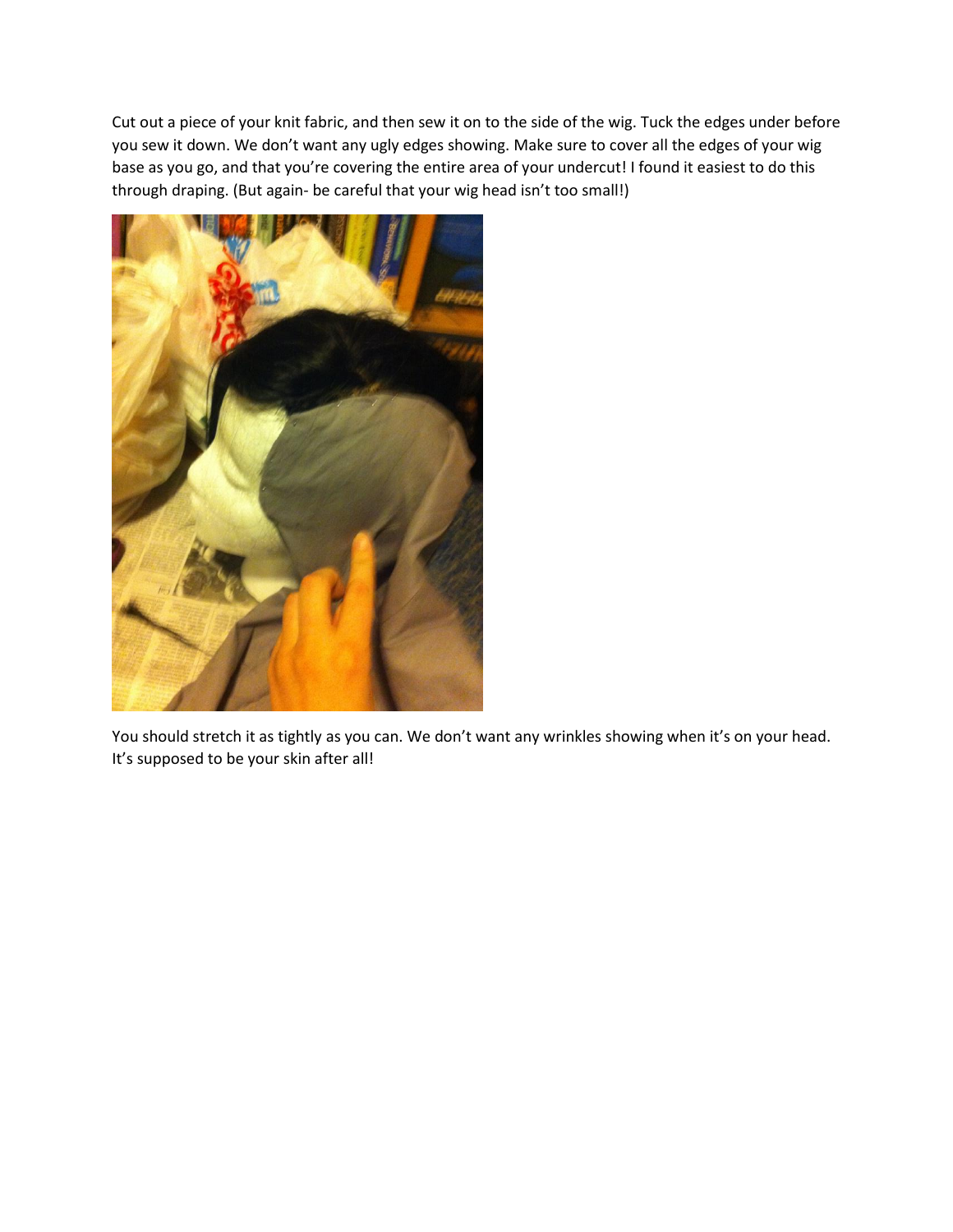Cut out a piece of your knit fabric, and then sew it on to the side of the wig. Tuck the edges under before you sew it down. We don't want any ugly edges showing. Make sure to cover all the edges of your wig base as you go, and that you're covering the entire area of your undercut! I found it easiest to do this through draping. (But again- be careful that your wig head isn't too small!)



You should stretch it as tightly as you can. We don't want any wrinkles showing when it's on your head. It's supposed to be your skin after all!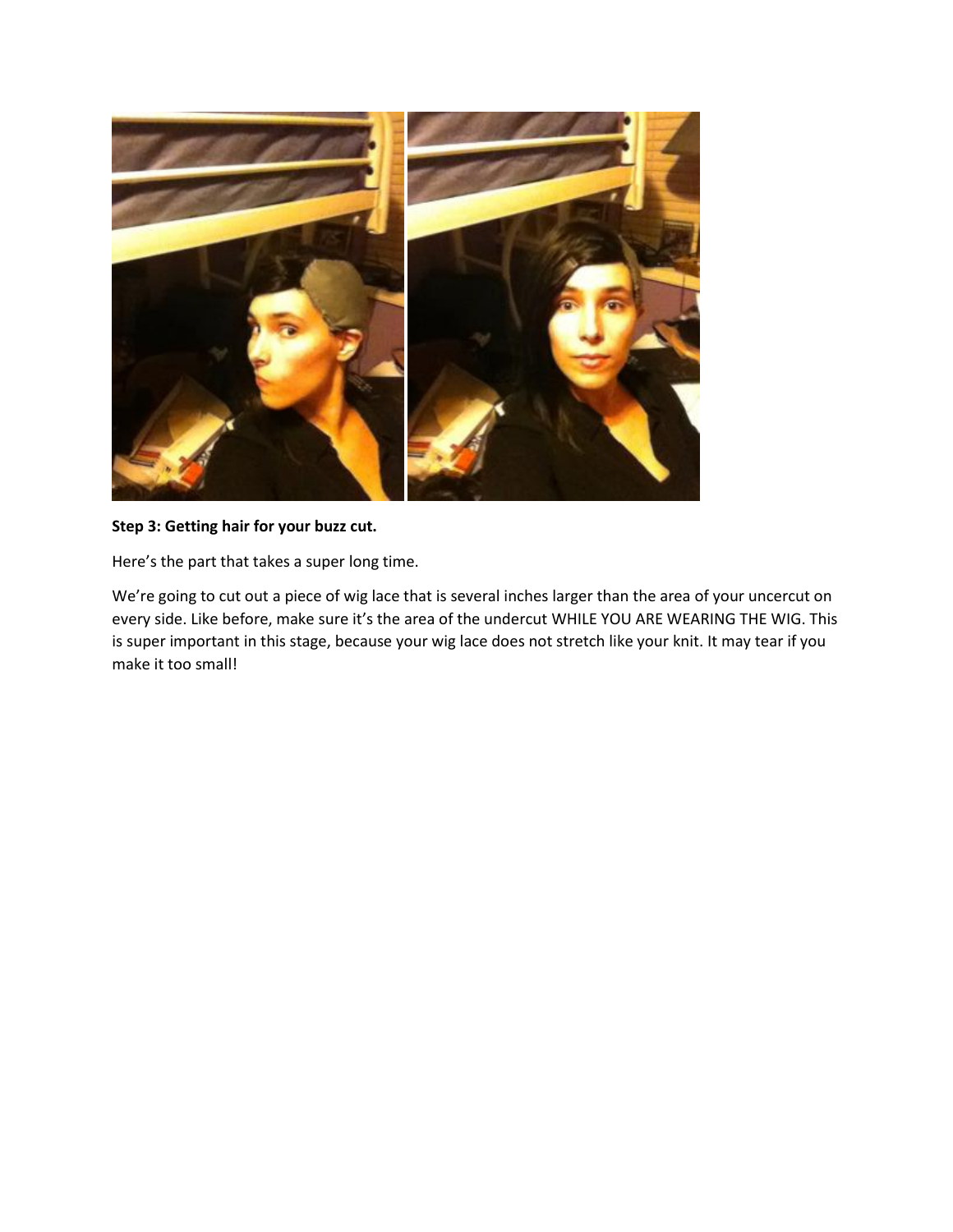

### **Step 3: Getting hair for your buzz cut.**

Here's the part that takes a super long time.

We're going to cut out a piece of wig lace that is several inches larger than the area of your uncercut on every side. Like before, make sure it's the area of the undercut WHILE YOU ARE WEARING THE WIG. This is super important in this stage, because your wig lace does not stretch like your knit. It may tear if you make it too small!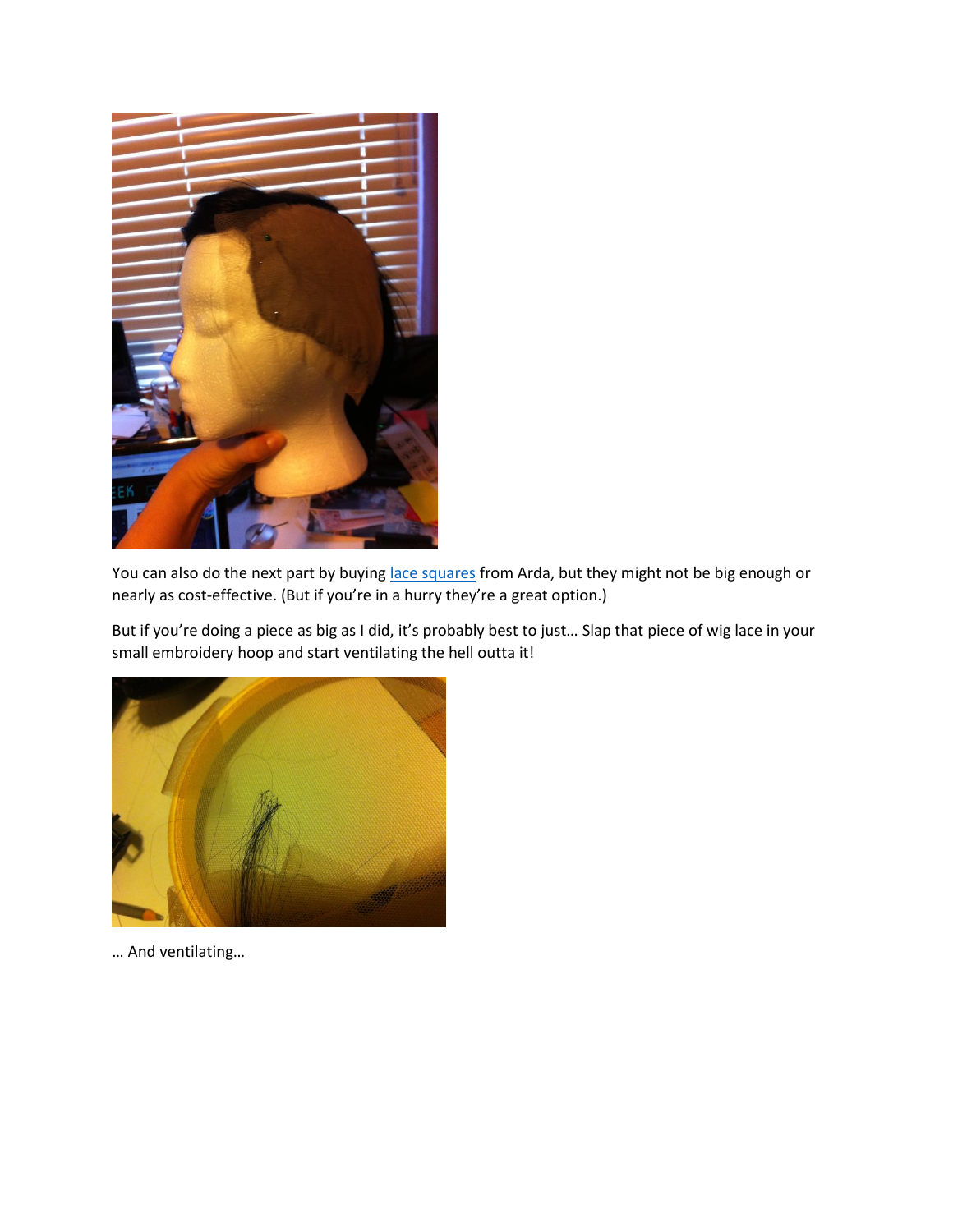

You can also do the next part by buyin[g lace squares](https://www.arda-wigs.com/collections/classic-accessories/products/lace-square?variant=27837424966) from Arda, but they might not be big enough or nearly as cost-effective. (But if you're in a hurry they're a great option.)

But if you're doing a piece as big as I did, it's probably best to just… Slap that piece of wig lace in your small embroidery hoop and start ventilating the hell outta it!



… And ventilating…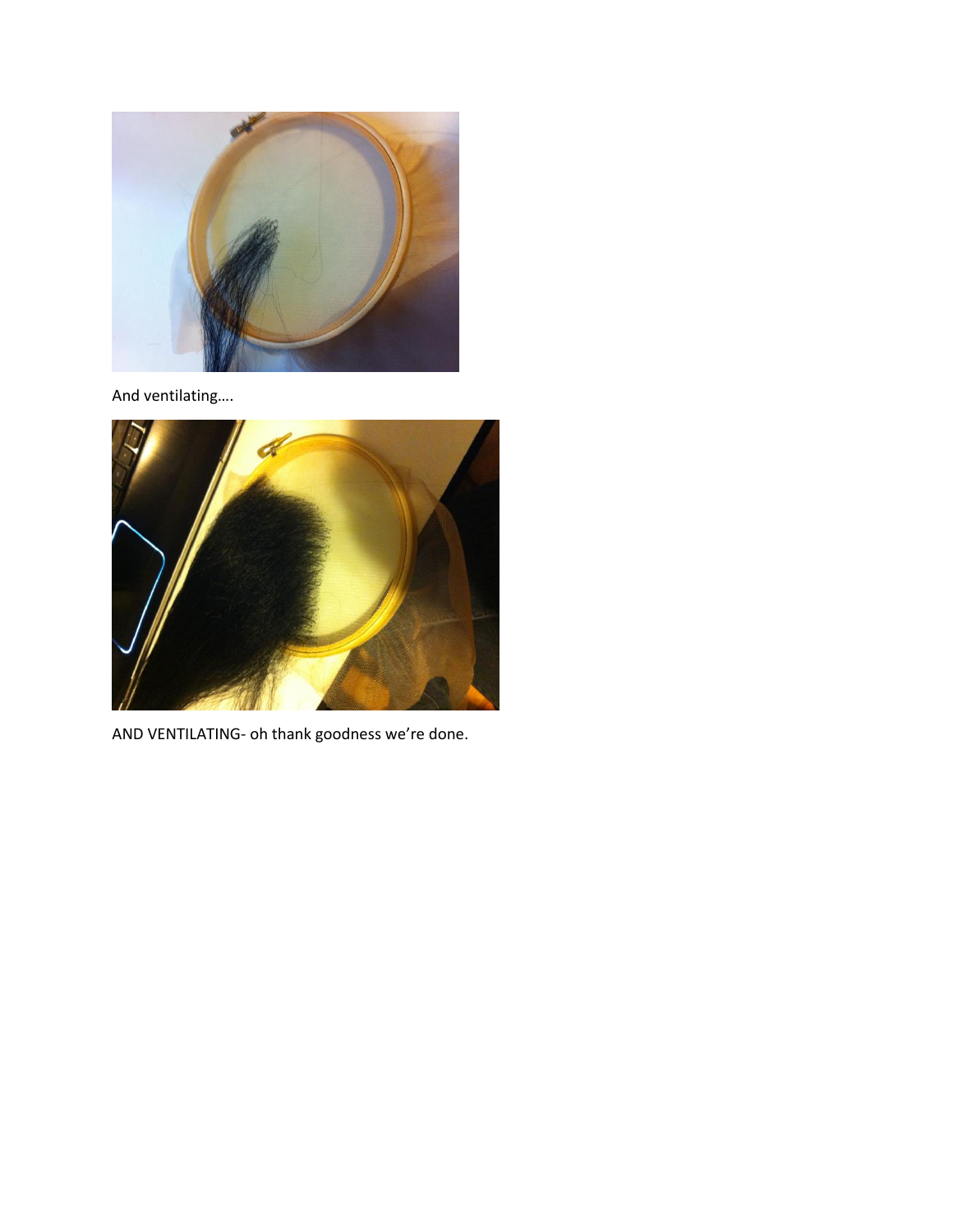

And ventilating….



AND VENTILATING- oh thank goodness we're done.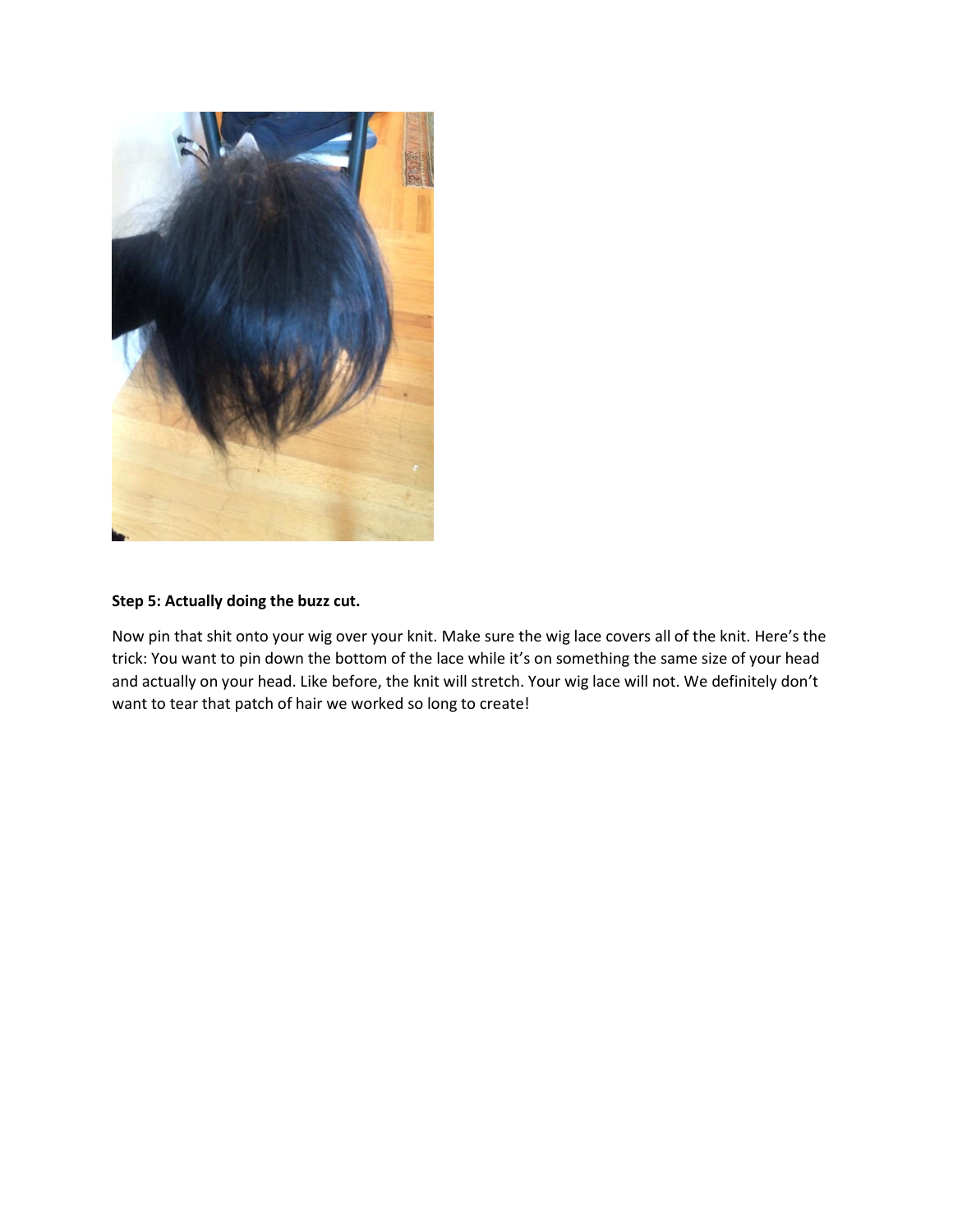

# **Step 5: Actually doing the buzz cut.**

Now pin that shit onto your wig over your knit. Make sure the wig lace covers all of the knit. Here's the trick: You want to pin down the bottom of the lace while it's on something the same size of your head and actually on your head. Like before, the knit will stretch. Your wig lace will not. We definitely don't want to tear that patch of hair we worked so long to create!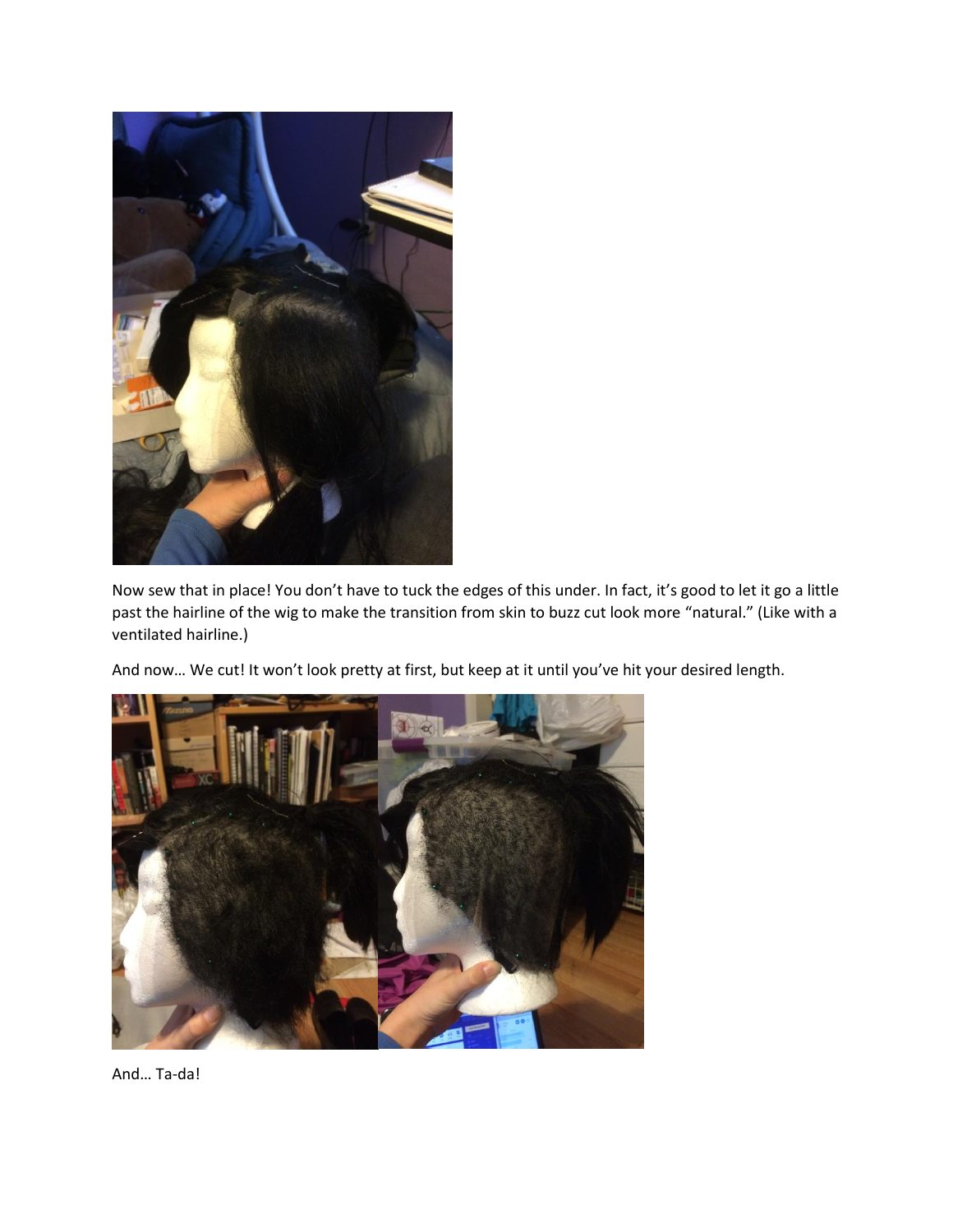

Now sew that in place! You don't have to tuck the edges of this under. In fact, it's good to let it go a little past the hairline of the wig to make the transition from skin to buzz cut look more "natural." (Like with a ventilated hairline.)

And now… We cut! It won't look pretty at first, but keep at it until you've hit your desired length.



And… Ta-da!